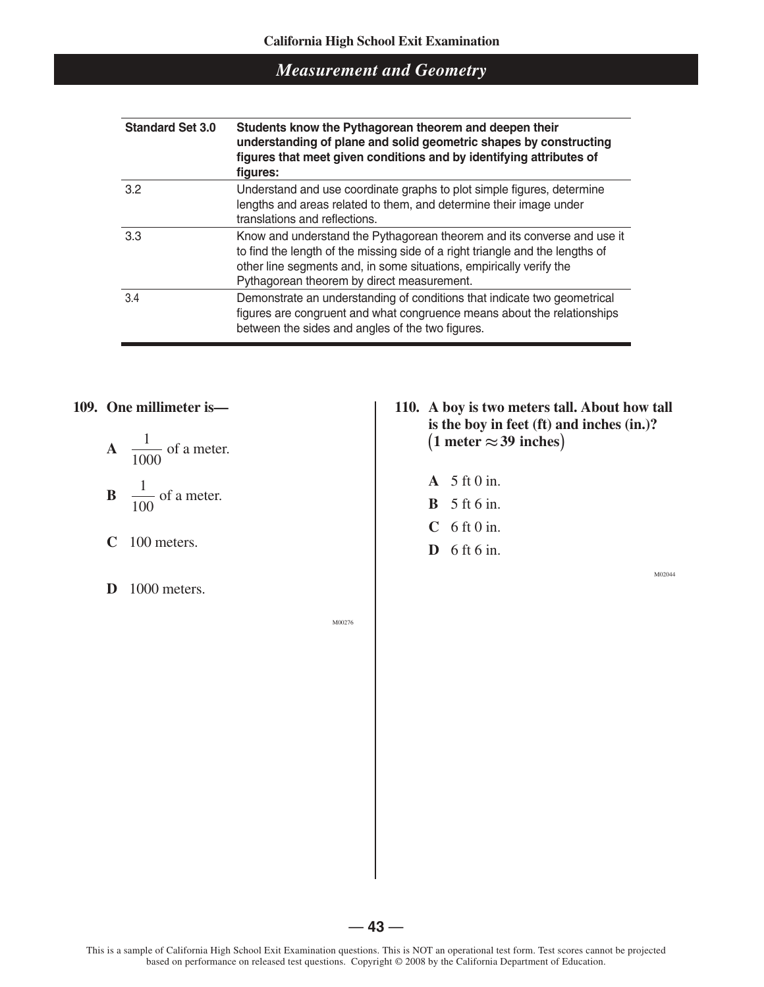| <b>Standard Set 3.0</b> | Students know the Pythagorean theorem and deepen their<br>understanding of plane and solid geometric shapes by constructing<br>figures that meet given conditions and by identifying attributes of<br>figures:                                                                |  |  |  |  |
|-------------------------|-------------------------------------------------------------------------------------------------------------------------------------------------------------------------------------------------------------------------------------------------------------------------------|--|--|--|--|
| 3.2                     | Understand and use coordinate graphs to plot simple figures, determine<br>lengths and areas related to them, and determine their image under<br>translations and reflections.                                                                                                 |  |  |  |  |
| 3.3                     | Know and understand the Pythagorean theorem and its converse and use it<br>to find the length of the missing side of a right triangle and the lengths of<br>other line segments and, in some situations, empirically verify the<br>Pythagorean theorem by direct measurement. |  |  |  |  |
| 3.4                     | Demonstrate an understanding of conditions that indicate two geometrical<br>figures are congruent and what congruence means about the relationships<br>between the sides and angles of the two figures.                                                                       |  |  |  |  |

#### **109. One millimeter is—**

$$
A = \frac{1}{1000}
$$
 of a meter.  

$$
B = \frac{1}{100}
$$
 of a meter.

- **C** 100 meters.
- **D** 1000 meters.

**110. A boy is two meters tall. About how tall is the boy in feet (ft) and inches (in.)?**  $(1$  meter  $\approx$  39 inches)

- **A** 5 ft 0 in.
- **B** 5 ft 6 in.
- **C** 6 ft 0 in.
- **D** 6 ft 6 in.

M02044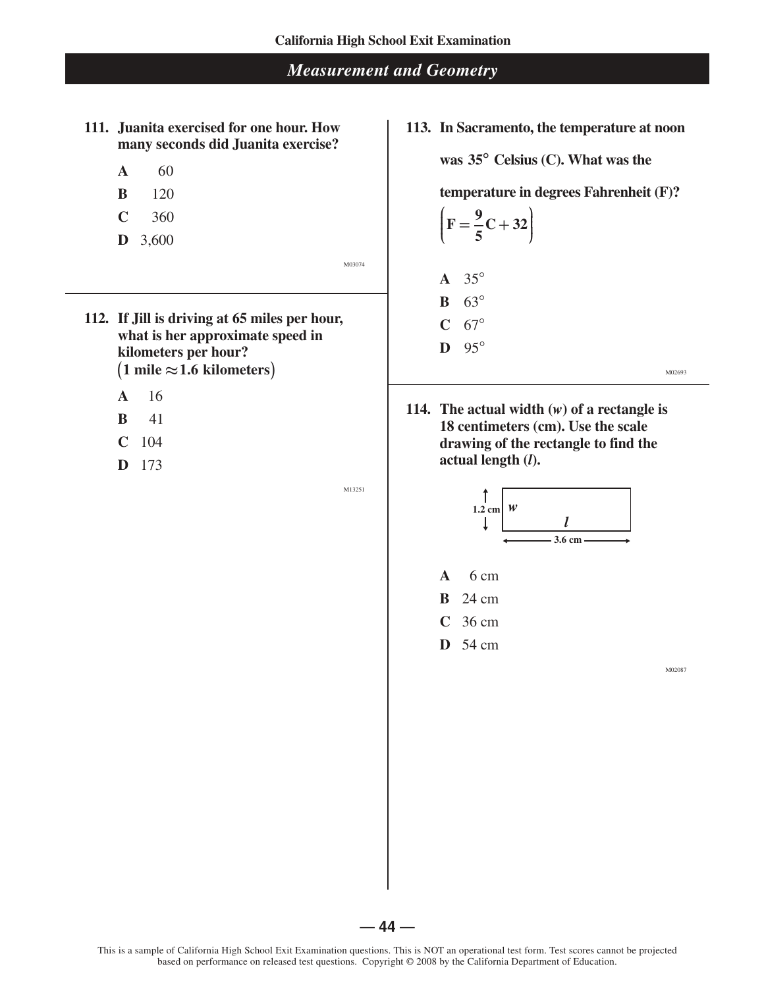- **111. Juanita exercised for one hour. How many seconds did Juanita exercise?** 
	- **A** 60
	- **B** 120
	- **C** 360
	- **D** 3,600

M03074

- **112. If Jill is driving at 65 miles per hour, what is her approximate speed in kilometers per hour?**  $(1 \text{ mile} \approx 1.6 \text{ kilometers})$ 
	- **A** 16
	- **B** 41
	- **C** 104
	- **D** 173

M13251

**113. In Sacramento, the temperature at noon** 

**was 35° Celsius (C). What was the** 

**temperature in degrees Fahrenheit (F)?** 

$$
\left(\mathbf{F}=\frac{9}{5}\mathbf{C}+32\right)
$$

**A** 35°

- **B** 63°
- $C$  67°
- **D** 95°

M02693

**114. The actual width (***w***) of a rectangle is 18 centimeters (cm). Use the scale drawing of the rectangle to find the actual length (***l***).**





**C** 36 cm

**D** 54 cm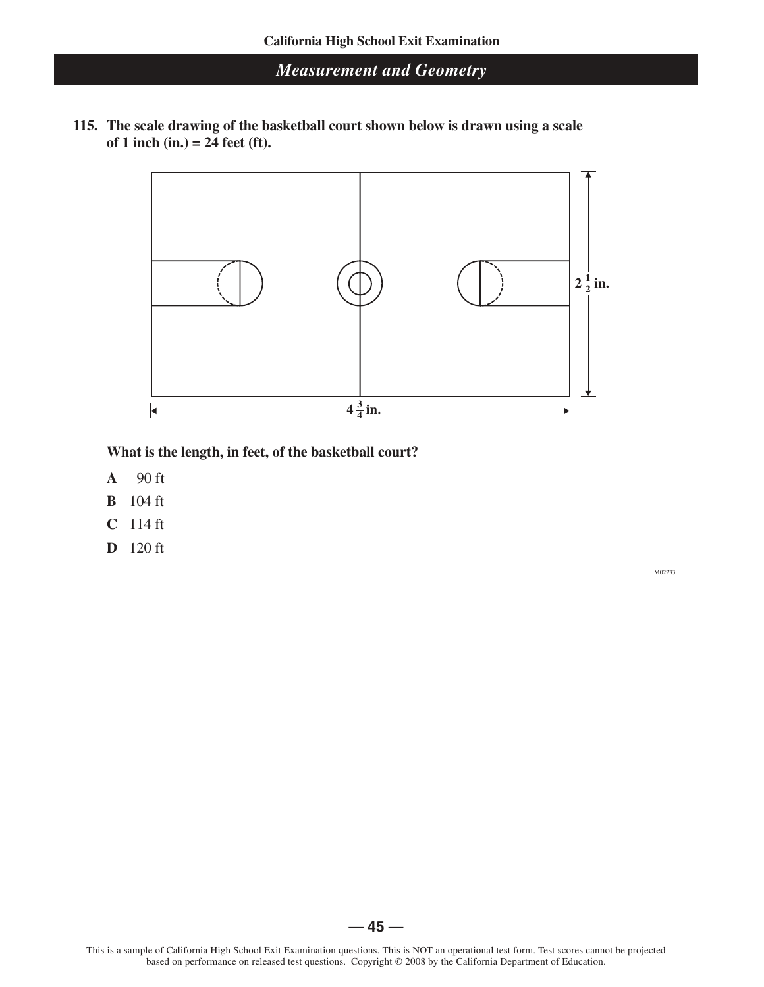**115. The scale drawing of the basketball court shown below is drawn using a scale of 1 inch (in.) = 24 feet (ft).**



**What is the length, in feet, of the basketball court?**

- **A** 90 ft
- **B** 104 ft
- **C** 114 ft
- **D** 120 ft

M02233

 $-45-$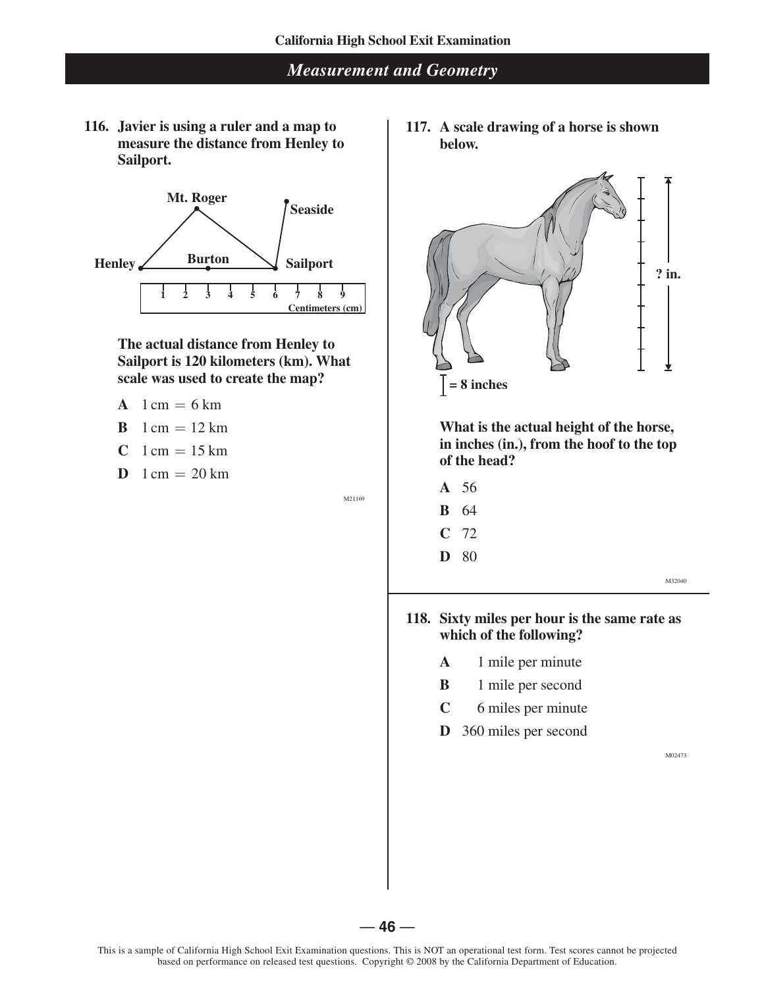**116. Javier is using a ruler and a map to measure the distance from Henley to Sailport.**



#### **The actual distance from Henley to Sailport is 120 kilometers (km). What scale was used to create the map?**

- **A**  $1 \text{ cm} = 6 \text{ km}$
- **B**  $1 \text{ cm} = 12 \text{ km}$
- **C**  $1 \text{ cm} = 15 \text{ km}$
- **D**  $1 \text{ cm} = 20 \text{ km}$

M21169

**117. A scale drawing of a horse is shown below.**



**What is the actual height of the horse, in inches (in.), from the hoof to the top of the head?**

- **A** 56 **B** 64
- **C** 72
- **D** 80

M32040

#### **118. Sixty miles per hour is the same rate as which of the following?**

- **A** 1 mile per minute
- **B** 1 mile per second
- **C** 6 miles per minute
- **D** 360 miles per second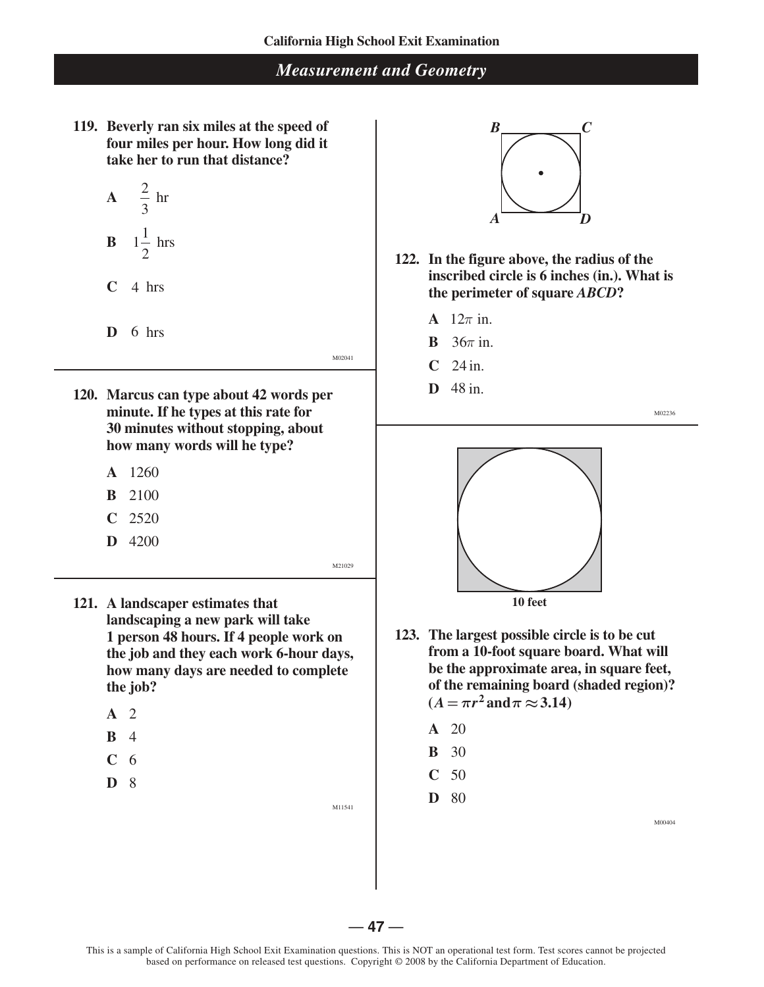**119. Beverly ran six miles at the speed of four miles per hour. How long did it take her to run that distance?** 

$$
A = \frac{2}{3} \text{ hr}
$$
  

$$
B = 1\frac{1}{2} \text{ hrs}
$$

2

**C** 4 hrs

- **D** 6 hrs
- **120. Marcus can type about 42 words per minute. If he types at this rate for 30 minutes without stopping, about how many words will he type?**
	- **A** 1260
	- **B** 2100
	- **C** 2520
	- **D** 4200

M21029

M11541

M02041

- **121. A landscaper estimates that landscaping a new park will take 1 person 48 hours. If 4 people work on the job and they each work 6-hour days, how many days are needed to complete the job?**
	- **A** 2
	- **B** 4
	- **C** 6
	- **D** 8

 $B \sim C$ *A D*

- **122. In the figure above, the radius of the inscribed circle is 6 inches (in.). What is the perimeter of square** *ABCD***?**
	- **A**  $12\pi$  in.
	- **B** 36*π* in.
	- **C** 24 in.
	- **D** 48 in.

M02236



- **123. The largest possible circle is to be cut from a 10-foot square board. What will be the approximate area, in square feet, of the remaining board (shaded region)?**  $(A = \pi r^2 \text{ and } \pi \approx 3.14)$ 
	- **A** 20
	- **B** 30
	- **C** 50
	- **D** 80

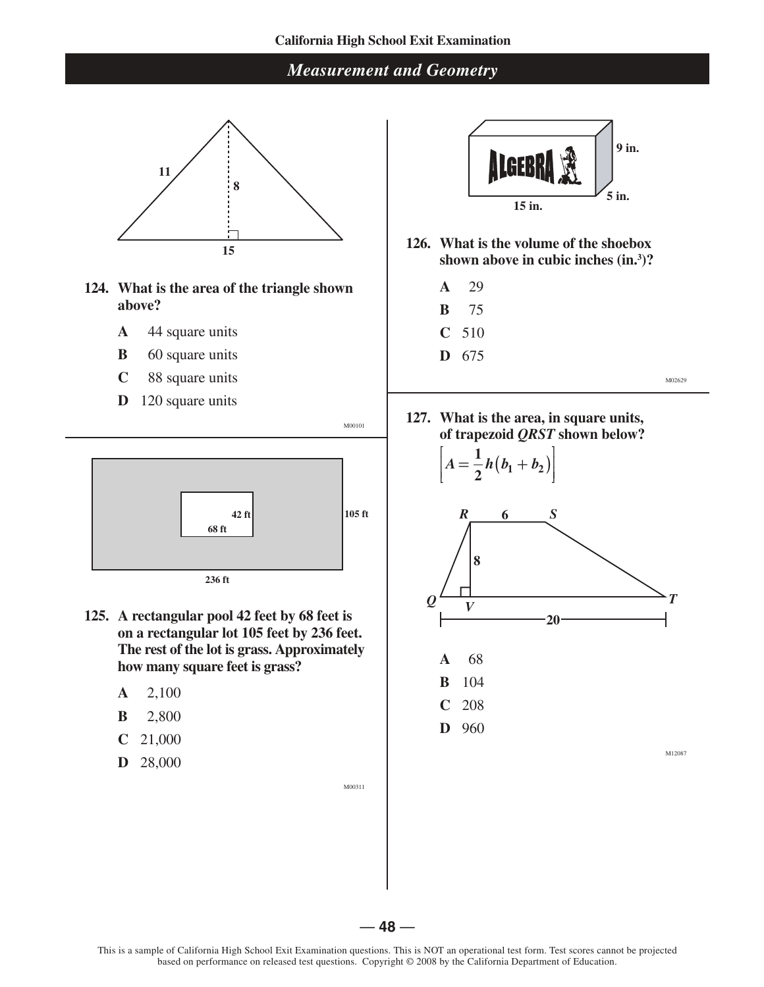#### **California High School Exit Examination**

### *Measurement and Geometry*



- **124. What is the area of the triangle shown above?**
	- **A** 44 square units
	- **B** 60 square units
	- **C** 88 square units
	- **D** 120 square units



**125. A rectangular pool 42 feet by 68 feet is on a rectangular lot 105 feet by 236 feet. The rest of the lot is grass. Approximately how many square feet is grass?**

— **48** —

- **A** 2,100
- **B** 2,800
- **C** 21,000
- **D** 28,000



- **126. What is the volume of the shoebox shown above in cubic inches (in.<sup>3</sup> )?**
	- **A** 29
	- **B** 75
	- **C** 510
	- **D** 675

**D** 960

M02629

**127. What is the area, in square units, of trapezoid** *QRST* **shown below?**





M12087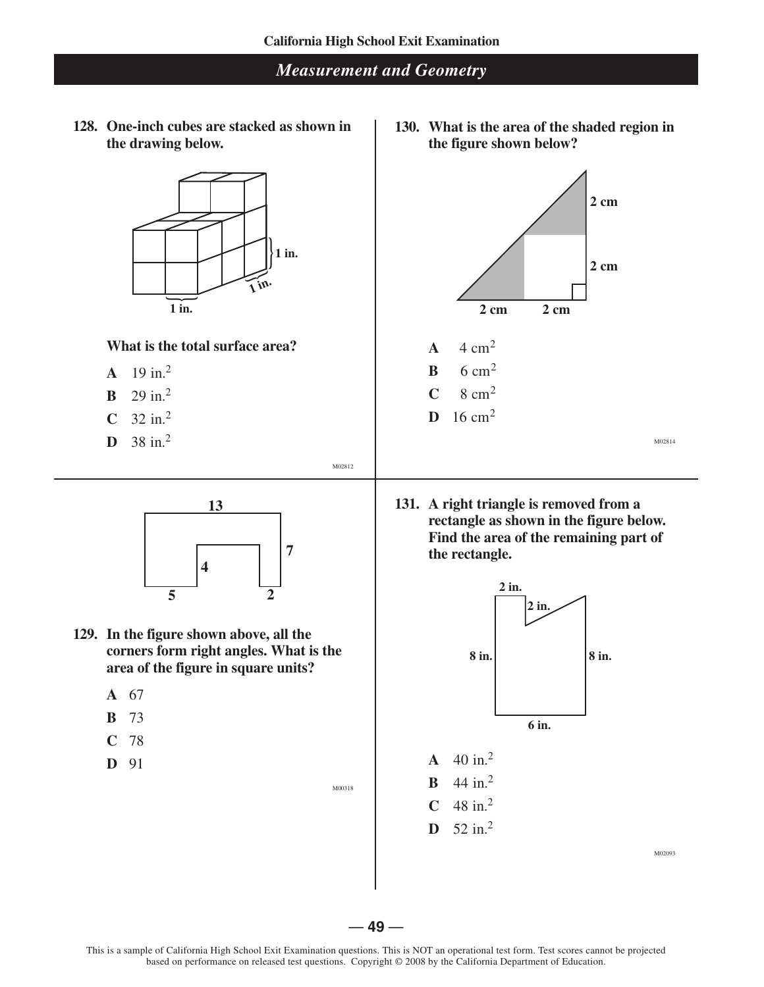**128. One-inch cubes are stacked as shown in the drawing below.**



#### **What is the total surface area?**

- **A**  $19 \text{ in.}^2$
- **B**  $29 \text{ in.}^2$
- **C**  $32 \text{ in.}^2$
- **D** 38 in.<sup>2</sup>



- **129. In the figure shown above, all the corners form right angles. What is the area of the figure in square units?**
	- **A** 67
	- **B** 73
	- **C** 78
	- **D** 91

M00318

M02812

**130. What is the area of the shaded region in the figure shown below?**



**131. A right triangle is removed from a rectangle as shown in the figure below. Find the area of the remaining part of the rectangle.**

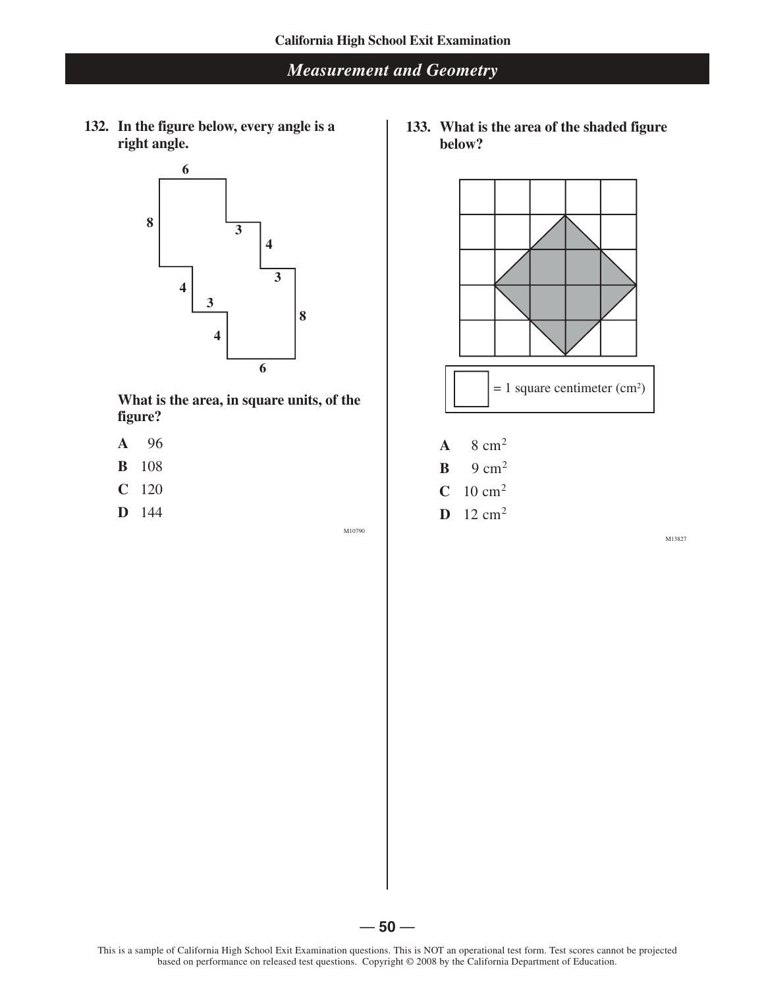**132. In the figure below, every angle is a right angle.**



**What is the area, in square units, of the figure?** 

- **A** 96
- **B** 108
- **C** 120
- **D** 144

M10790

**133. What is the area of the shaded figure below?**



- $C$  10 cm<sup>2</sup>
- **D**  $12 \text{ cm}^2$

M13827

 $-50-$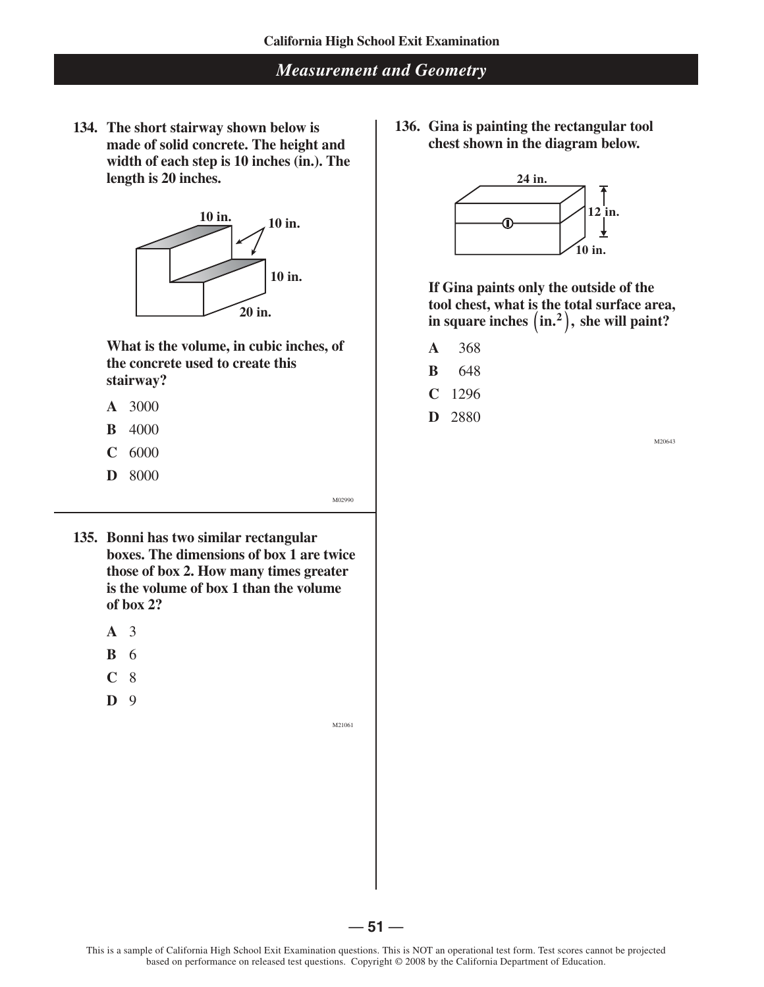**134. The short stairway shown below is made of solid concrete. The height and width of each step is 10 inches (in.). The length is 20 inches.**



**What is the volume, in cubic inches, of the concrete used to create this stairway?**

- **A** 3000
- **B** 4000
- **C** 6000
- **D** 8000

**136. Gina is painting the rectangular tool chest shown in the diagram below.**



**If Gina paints only the outside of the tool chest, what is the total surface area,**   $\mathbf{i}$  **in square inches**  $\left( \text{in.}^{2} \right)$ , she will paint?

- **A** 368
- **B** 648
- **C** 1296
- **D** 2880

M20643

- **135. Bonni has two similar rectangular boxes. The dimensions of box 1 are twice those of box 2. How many times greater is the volume of box 1 than the volume of box 2?** 
	- **A** 3
	- **B** 6
	- **C** 8
	- **D** 9

M21061

M02990

This is a sample of California High School Exit Examination questions. This is NOT an operational test form. Test scores cannot be projected based on performance on released test questions. Copyright © 2008 by the California Department of Education.

 $-51-$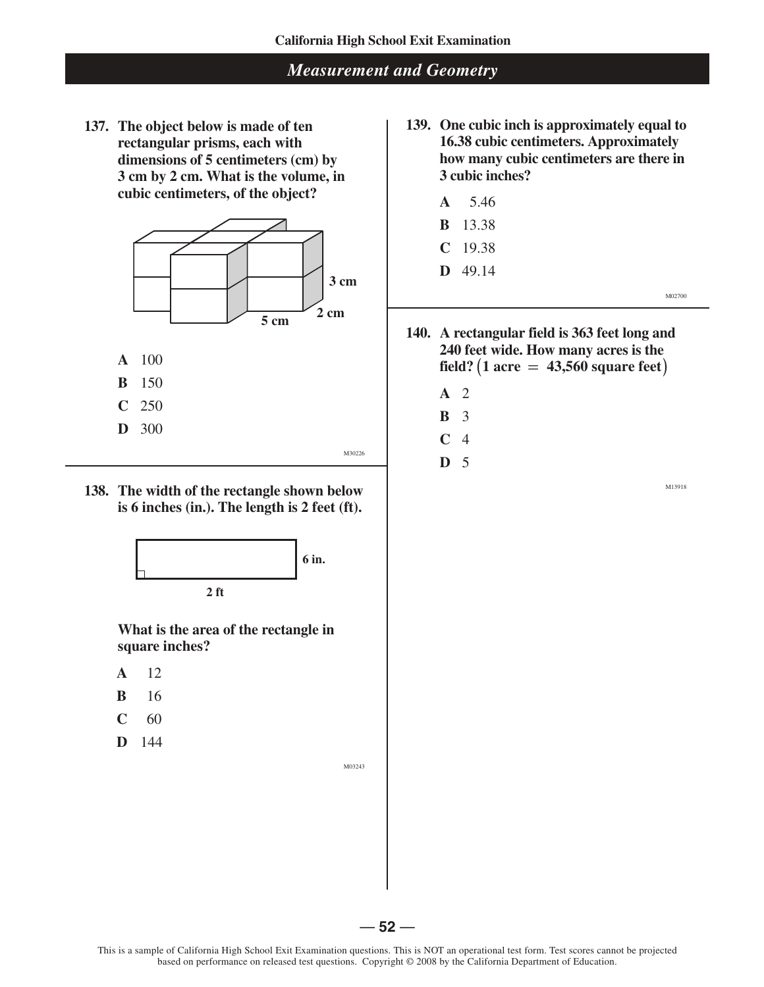**137. The object below is made of ten rectangular prisms, each with dimensions of 5 centimeters (cm) by 3 cm by 2 cm. What is the volume, in cubic centimeters, of the object?**



- **A** 100
- **B** 150
- **C** 250
- **D** 300
- **138. The width of the rectangle shown below is 6 inches (in.). The length is 2 feet (ft).**



**What is the area of the rectangle in square inches?**

- **A** 12
- **B** 16
- **C** 60
- **D** 144

M03243

M30226

**139. One cubic inch is approximately equal to 16.38 cubic centimeters. Approximately how many cubic centimeters are there in 3 cubic inches?**

| $A = 5.46$     |  |  |        |
|----------------|--|--|--------|
| <b>B</b> 13.38 |  |  |        |
| $C$ 19.38      |  |  |        |
| $D$ 49.14      |  |  |        |
|                |  |  | M02700 |

**140. A rectangular field is 363 feet long and 240 feet wide. How many acres is the field? (1 acre = 43,560 square feet )**

- **A** 2
- **B** 3
- **C** 4
- **D** 5

M13918

 $-52-$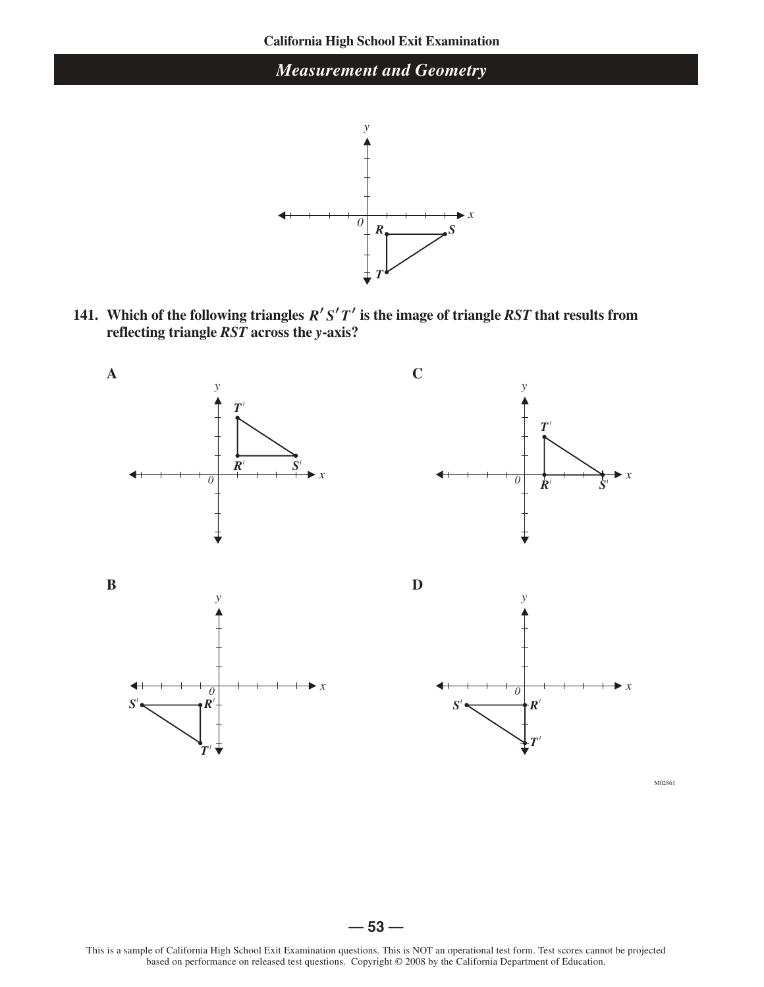

**141.** Which of the following triangles  $R'S'T'$  is the image of triangle  $RST$  that results from **reflecting triangle** *RST* **across the** *y***-axis?**



*T*

. .

M02861

*x*

*x*

*T \_*

This is a sample of California High School Exit Examination questions. This is NOT an operational test form. Test scores cannot be projected based on performance on released test questions. Copyright © 2008 by the California Department of Education.

 $-53-$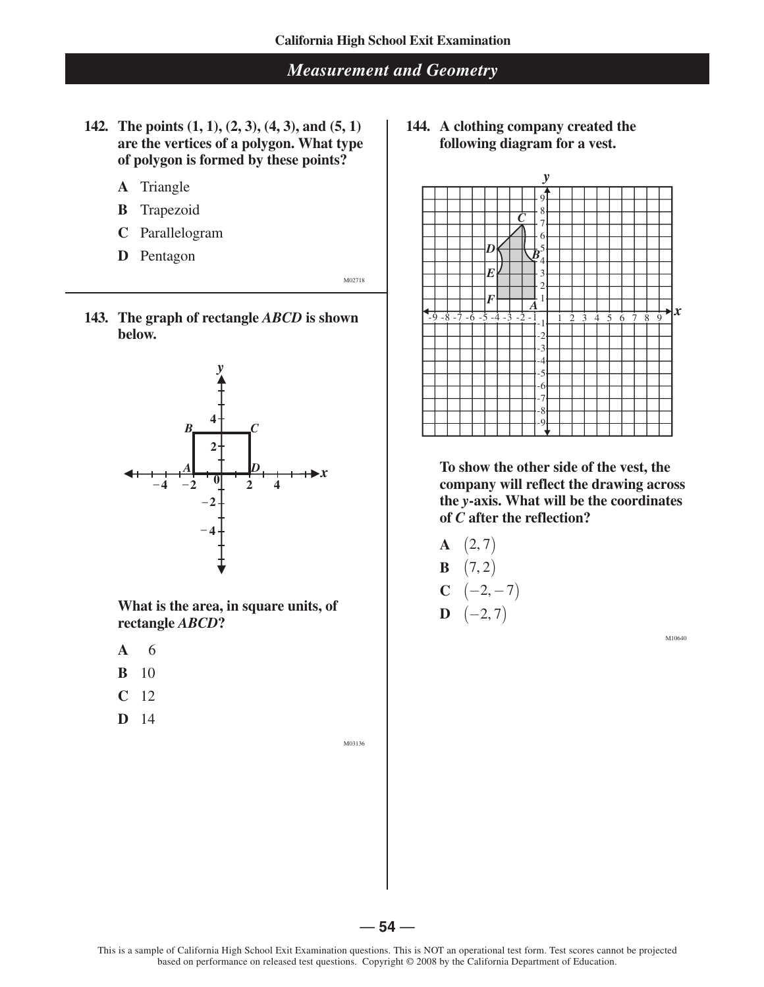- **142. The points (1, 1), (2, 3), (4, 3), and (5, 1) are the vertices of a polygon. What type of polygon is formed by these points?**
	- **A** Triangle
	- **B** Trapezoid
	- **C** Parallelogram
	- **D** Pentagon

M02718

**143. The graph of rectangle** *ABCD* **is shown below.**



**What is the area, in square units, of rectangle** *ABCD***?**

— **54** —

- **A** 6
- **B** 10
- **C** 12
- **D** 14

M03136

**144. A clothing company created the following diagram for a vest.**



**To show the other side of the vest, the company will reflect the drawing across the** *y***-axis. What will be the coordinates of** *C* **after the reflection?**

- **A**  $(2, 7)$
- **B**  $(7, 2)$
- **C**  $(-2, -7)$
- $D \quad (-2, 7)$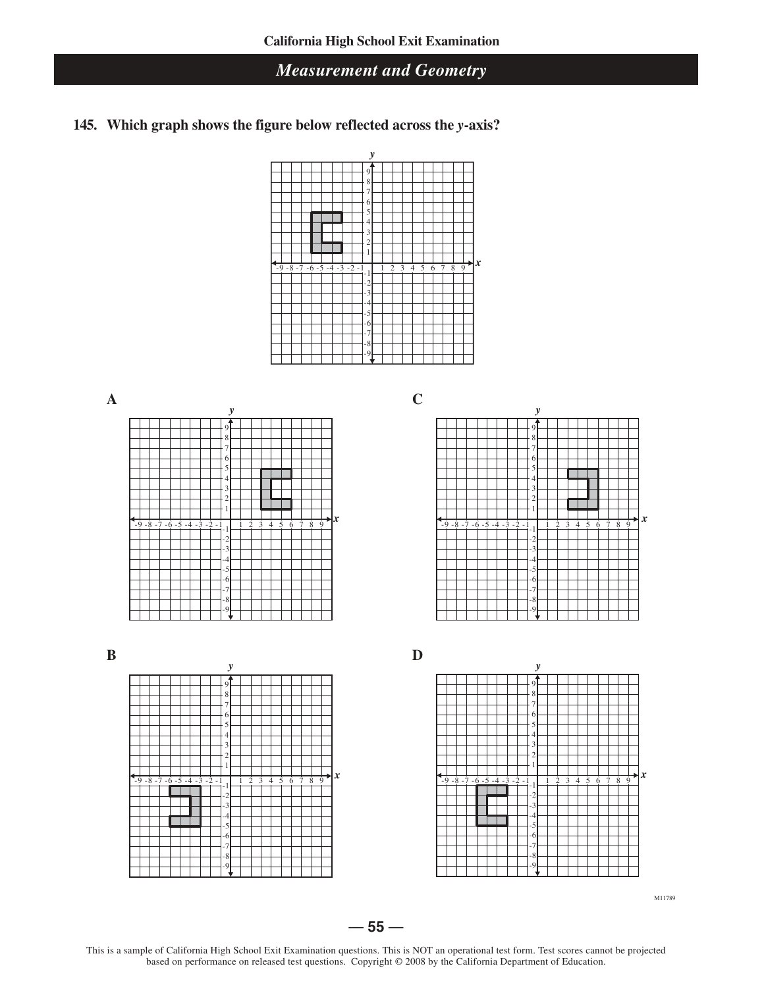**145. Which graph shows the figure below reflected across the** *y***-axis?**















This is a sample of California High School Exit Examination questions. This is NOT an operational test form. Test scores cannot be projected based on performance on released test questions. Copyright © 2008 by the California Department of Education.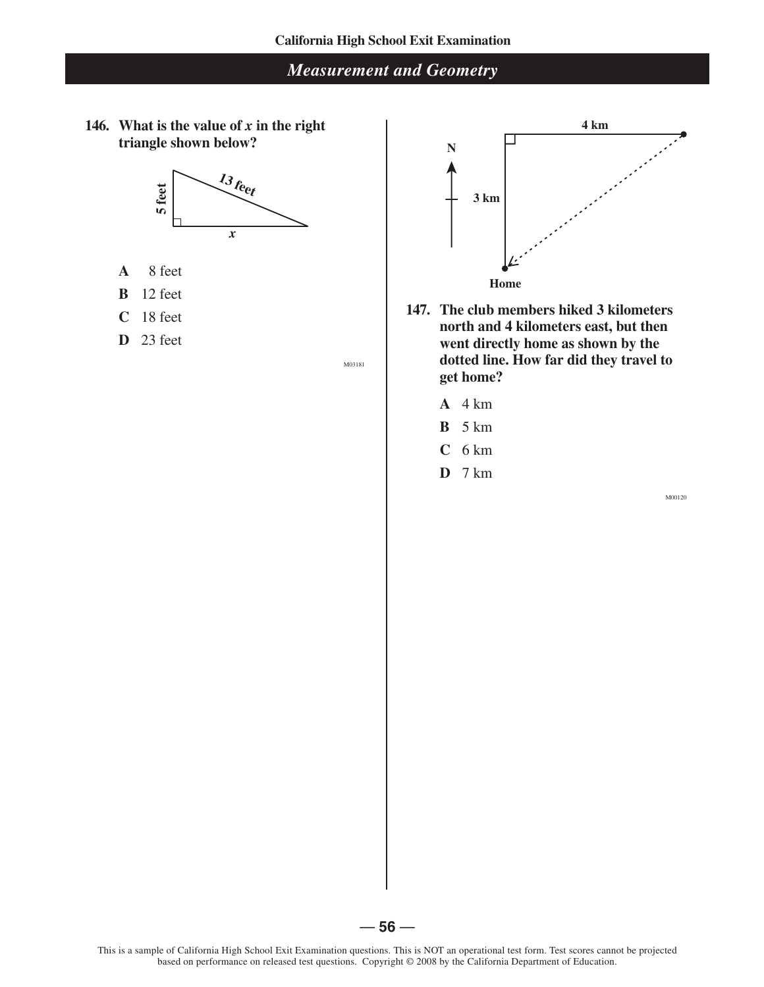146. What is the value of  $x$  in the right **triangle shown below?**



- **A** 8 feet
- **B** 12 feet
- **C** 18 feet
- **D** 23 feet

M03181



- **147. The club members hiked 3 kilometers north and 4 kilometers east, but then went directly home as shown by the dotted line. How far did they travel to get home?**
	- **A** 4 km
	- **B** 5 km
	- **C** 6 km
	- **D** 7 km

M00120



 $-56-$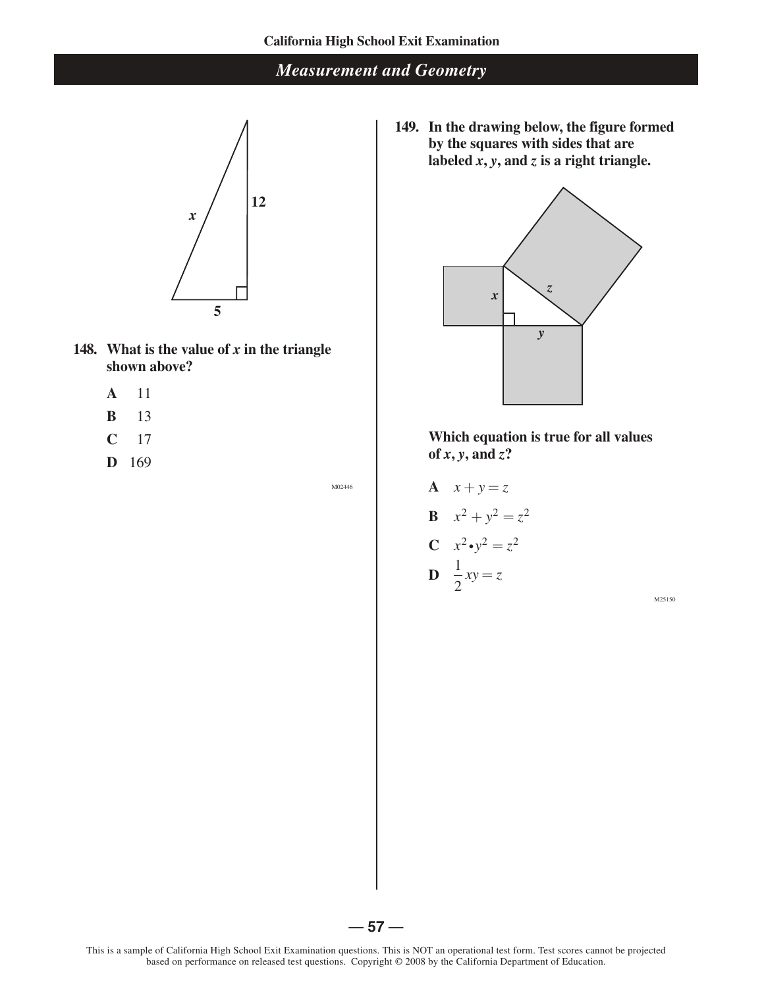

- **148.** What is the value of  $x$  in the triangle **shown above?**
	- **A** 11
	- **B** 13
	- **C** 17
	- **D** 169

M02446

**149. In the drawing below, the figure formed by the squares with sides that are**  labeled  $\hat{x}$ ,  $\hat{y}$ , and  $\hat{z}$  is a right triangle.



**Which equation is true for all values**  of  $x, y$ , and  $z$ ?

**A** 
$$
x+y=z
$$
  
\n**B**  $x^2 + y^2 = z^2$   
\n**C**  $x^2 \cdot y^2 = z^2$   
\n**D**  $\frac{1}{2}xy = z$ 

M25150

 $-57-$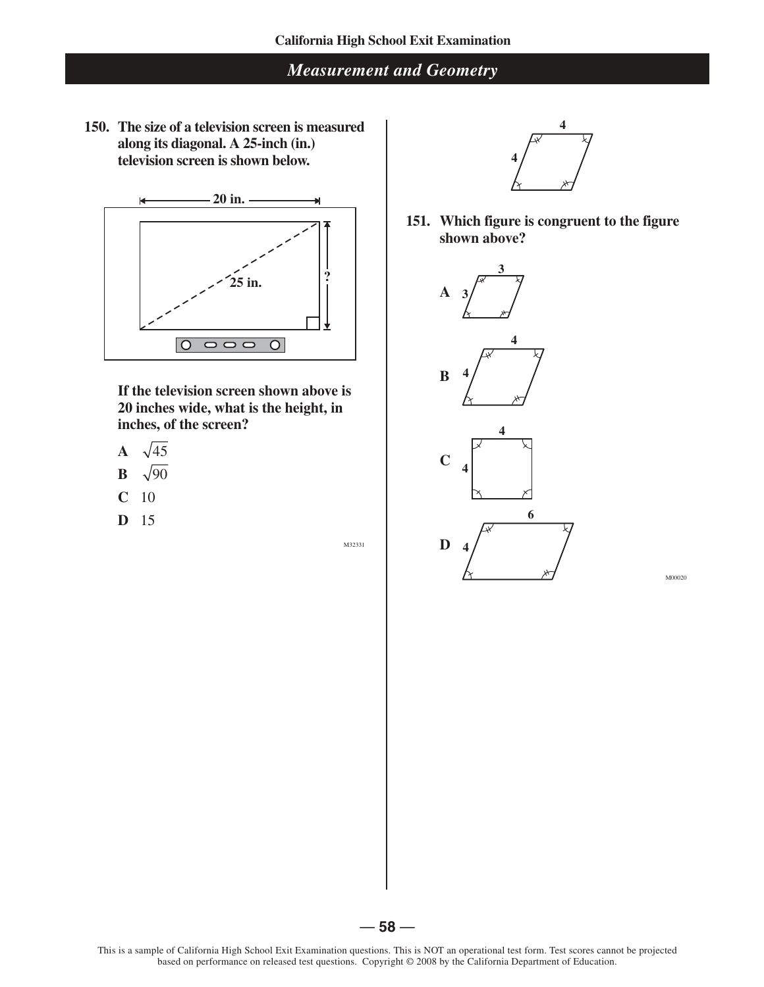**150. The size of a television screen is measured along its diagonal. A 25-inch (in.) television screen is shown below.**



**If the television screen shown above is 20 inches wide, what is the height, in inches, of the screen?**

- A  $\sqrt{45}$
- **B**   $\sqrt{90}$
- **C** 10
- **D** 15

M32331



**151. Which figure is congruent to the figure shown above?**



M00020

 $-58-$